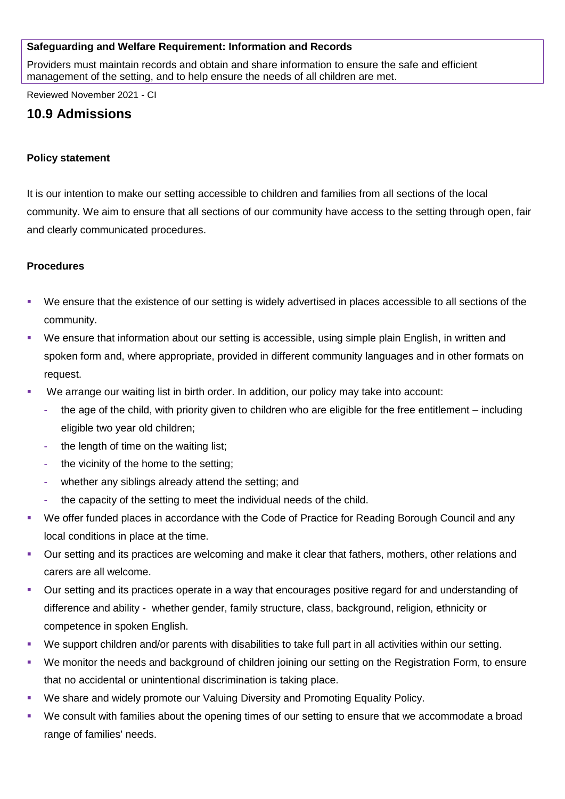# **Safeguarding and Welfare Requirement: Information and Records**

Providers must maintain records and obtain and share information to ensure the safe and efficient management of the setting, and to help ensure the needs of all children are met.

Reviewed November 2021 - CI

# **10.9 Admissions**

# **Policy statement**

It is our intention to make our setting accessible to children and families from all sections of the local community. We aim to ensure that all sections of our community have access to the setting through open, fair and clearly communicated procedures.

# **Procedures**

- We ensure that the existence of our setting is widely advertised in places accessible to all sections of the community.
- We ensure that information about our setting is accessible, using simple plain English, in written and spoken form and, where appropriate, provided in different community languages and in other formats on request.
- We arrange our waiting list in birth order. In addition, our policy may take into account:
	- the age of the child, with priority given to children who are eligible for the free entitlement including eligible two year old children;
	- the length of time on the waiting list;
	- the vicinity of the home to the setting:
	- whether any siblings already attend the setting; and
	- the capacity of the setting to meet the individual needs of the child.
- We offer funded places in accordance with the Code of Practice for Reading Borough Council and any local conditions in place at the time.
- Our setting and its practices are welcoming and make it clear that fathers, mothers, other relations and carers are all welcome.
- Our setting and its practices operate in a way that encourages positive regard for and understanding of difference and ability - whether gender, family structure, class, background, religion, ethnicity or competence in spoken English.
- We support children and/or parents with disabilities to take full part in all activities within our setting.
- We monitor the needs and background of children joining our setting on the Registration Form, to ensure that no accidental or unintentional discrimination is taking place.
- We share and widely promote our Valuing Diversity and Promoting Equality Policy.
- We consult with families about the opening times of our setting to ensure that we accommodate a broad range of families' needs.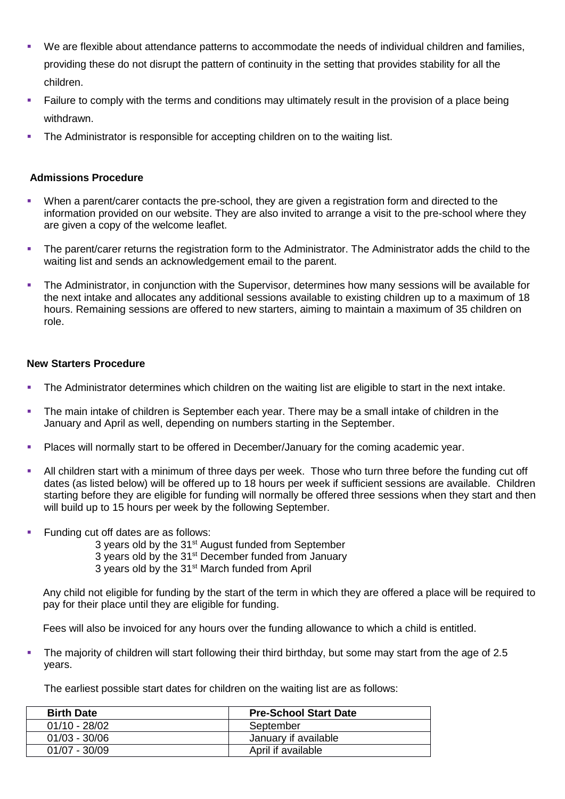- We are flexible about attendance patterns to accommodate the needs of individual children and families, providing these do not disrupt the pattern of continuity in the setting that provides stability for all the children.
- Failure to comply with the terms and conditions may ultimately result in the provision of a place being withdrawn.
- The Administrator is responsible for accepting children on to the waiting list.

# **Admissions Procedure**

- When a parent/carer contacts the pre-school, they are given a registration form and directed to the information provided on our website. They are also invited to arrange a visit to the pre-school where they are given a copy of the welcome leaflet.
- **•** The parent/carer returns the registration form to the Administrator. The Administrator adds the child to the waiting list and sends an acknowledgement email to the parent.
- The Administrator, in conjunction with the Supervisor, determines how many sessions will be available for the next intake and allocates any additional sessions available to existing children up to a maximum of 18 hours. Remaining sessions are offered to new starters, aiming to maintain a maximum of 35 children on role.

# **New Starters Procedure**

- The Administrator determines which children on the waiting list are eligible to start in the next intake.
- The main intake of children is September each year. There may be a small intake of children in the January and April as well, depending on numbers starting in the September.
- Places will normally start to be offered in December/January for the coming academic year.
- **EXT** All children start with a minimum of three days per week. Those who turn three before the funding cut off dates (as listed below) will be offered up to 18 hours per week if sufficient sessions are available. Children starting before they are eligible for funding will normally be offered three sessions when they start and then will build up to 15 hours per week by the following September.
- Funding cut off dates are as follows:
	- 3 years old by the 31<sup>st</sup> August funded from September
	- 3 years old by the 31<sup>st</sup> December funded from Januarv
	- 3 years old by the 31<sup>st</sup> March funded from April

Any child not eligible for funding by the start of the term in which they are offered a place will be required to pay for their place until they are eligible for funding.

Fees will also be invoiced for any hours over the funding allowance to which a child is entitled.

▪ The majority of children will start following their third birthday, but some may start from the age of 2.5 years.

The earliest possible start dates for children on the waiting list are as follows:

| <b>Birth Date</b> | <b>Pre-School Start Date</b> |
|-------------------|------------------------------|
| $01/10 - 28/02$   | September                    |
| $01/03 - 30/06$   | January if available         |
| $01/07 - 30/09$   | April if available           |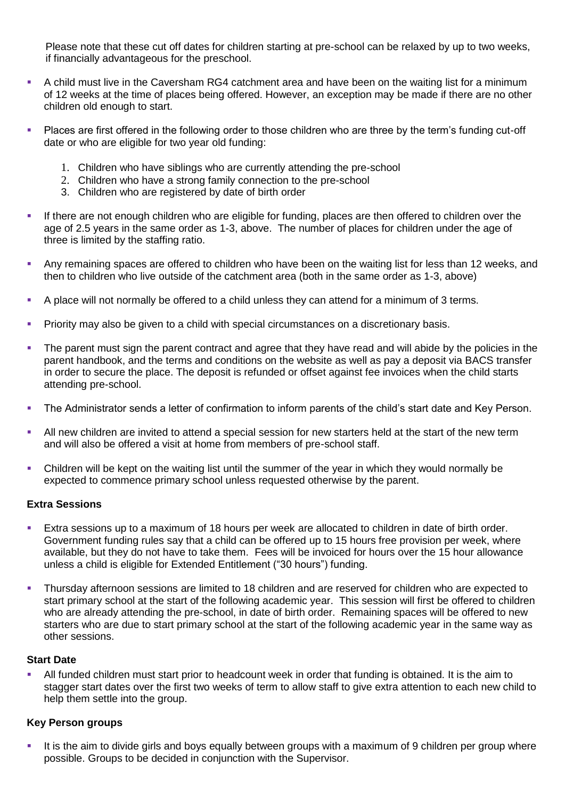Please note that these cut off dates for children starting at pre-school can be relaxed by up to two weeks, if financially advantageous for the preschool.

- A child must live in the Caversham RG4 catchment area and have been on the waiting list for a minimum of 12 weeks at the time of places being offered. However, an exception may be made if there are no other children old enough to start.
- Places are first offered in the following order to those children who are three by the term's funding cut-off date or who are eligible for two year old funding:
	- 1. Children who have siblings who are currently attending the pre-school
	- 2. Children who have a strong family connection to the pre-school
	- 3. Children who are registered by date of birth order
- If there are not enough children who are eligible for funding, places are then offered to children over the age of 2.5 years in the same order as 1-3, above. The number of places for children under the age of three is limited by the staffing ratio.
- Any remaining spaces are offered to children who have been on the waiting list for less than 12 weeks, and then to children who live outside of the catchment area (both in the same order as 1-3, above)
- A place will not normally be offered to a child unless they can attend for a minimum of 3 terms.
- Priority may also be given to a child with special circumstances on a discretionary basis.
- The parent must sign the parent contract and agree that they have read and will abide by the policies in the parent handbook, and the terms and conditions on the website as well as pay a deposit via BACS transfer in order to secure the place. The deposit is refunded or offset against fee invoices when the child starts attending pre-school.
- The Administrator sends a letter of confirmation to inform parents of the child's start date and Key Person.
- All new children are invited to attend a special session for new starters held at the start of the new term and will also be offered a visit at home from members of pre-school staff.
- Children will be kept on the waiting list until the summer of the year in which they would normally be expected to commence primary school unless requested otherwise by the parent.

#### **Extra Sessions**

- Extra sessions up to a maximum of 18 hours per week are allocated to children in date of birth order. Government funding rules say that a child can be offered up to 15 hours free provision per week, where available, but they do not have to take them. Fees will be invoiced for hours over the 15 hour allowance unless a child is eligible for Extended Entitlement ("30 hours") funding.
- Thursday afternoon sessions are limited to 18 children and are reserved for children who are expected to start primary school at the start of the following academic year. This session will first be offered to children who are already attending the pre-school, in date of birth order. Remaining spaces will be offered to new starters who are due to start primary school at the start of the following academic year in the same way as other sessions.

# **Start Date**

All funded children must start prior to headcount week in order that funding is obtained. It is the aim to stagger start dates over the first two weeks of term to allow staff to give extra attention to each new child to help them settle into the group.

# **Key Person groups**

It is the aim to divide girls and boys equally between groups with a maximum of 9 children per group where possible. Groups to be decided in conjunction with the Supervisor.